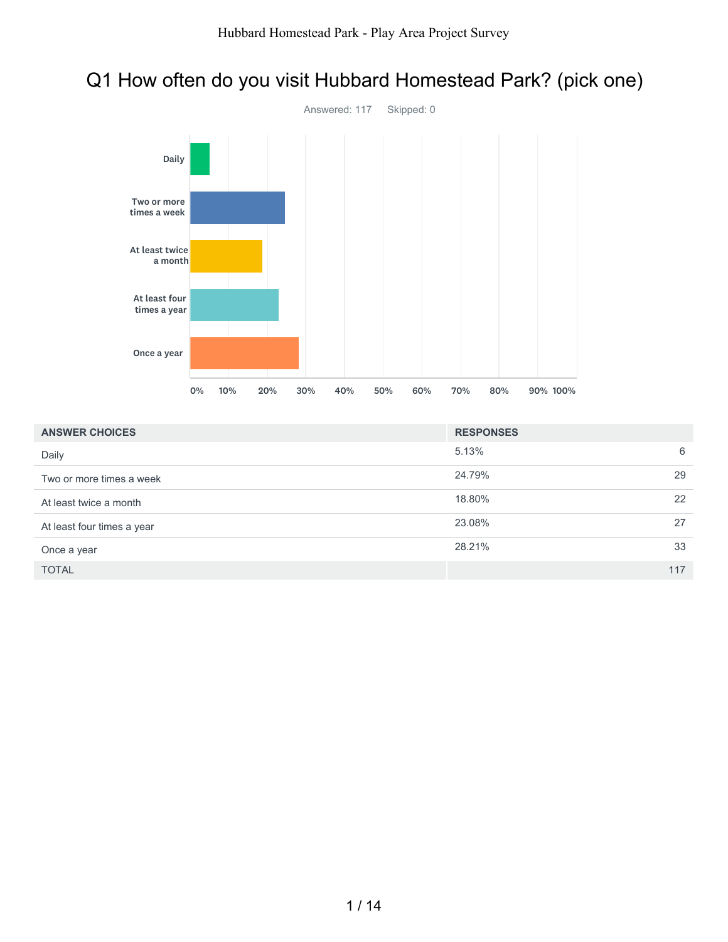# Q1 How often do you visit Hubbard Homestead Park? (pick one)



| <b>ANSWER CHOICES</b>      | <b>RESPONSES</b> |     |
|----------------------------|------------------|-----|
| Daily                      | 5.13%            | 6   |
| Two or more times a week   | 24.79%           | 29  |
| At least twice a month     | 18.80%           | 22  |
| At least four times a year | 23.08%           | 27  |
| Once a year                | 28.21%           | 33  |
| <b>TOTAL</b>               |                  | 117 |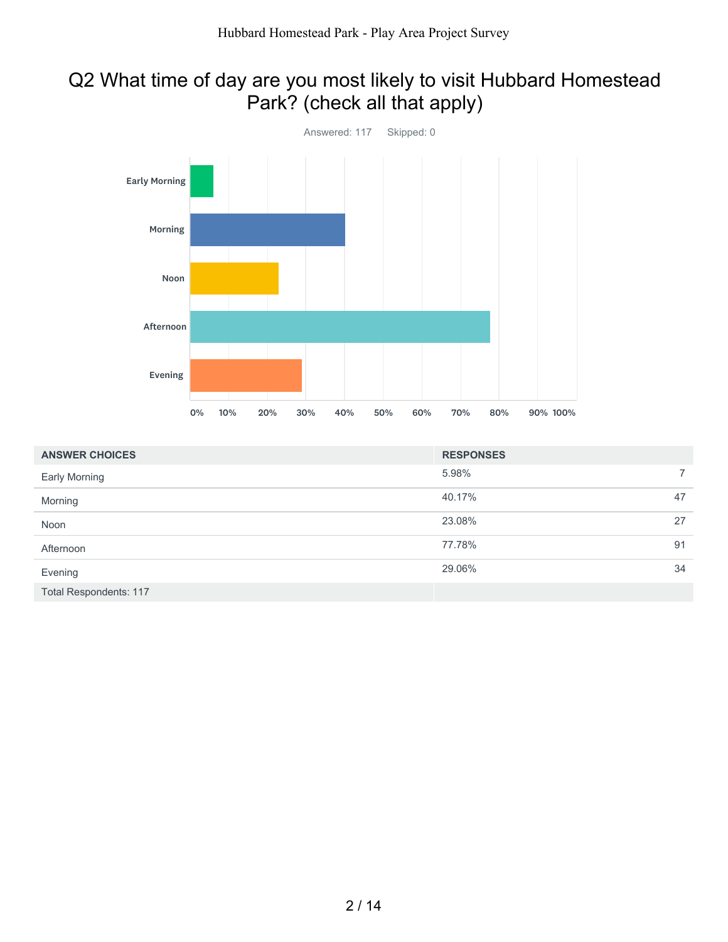## Q2 What time of day are you most likely to visit Hubbard Homestead Park? (check all that apply)



| <b>ANSWER CHOICES</b>         | <b>RESPONSES</b> |                |  |
|-------------------------------|------------------|----------------|--|
| <b>Early Morning</b>          | 5.98%            | $\overline{7}$ |  |
| Morning                       | 40.17%           | 47             |  |
| Noon                          | 23.08%           | 27             |  |
| Afternoon                     | 77.78%           | 91             |  |
| Evening                       | 29.06%           | 34             |  |
| <b>Total Respondents: 117</b> |                  |                |  |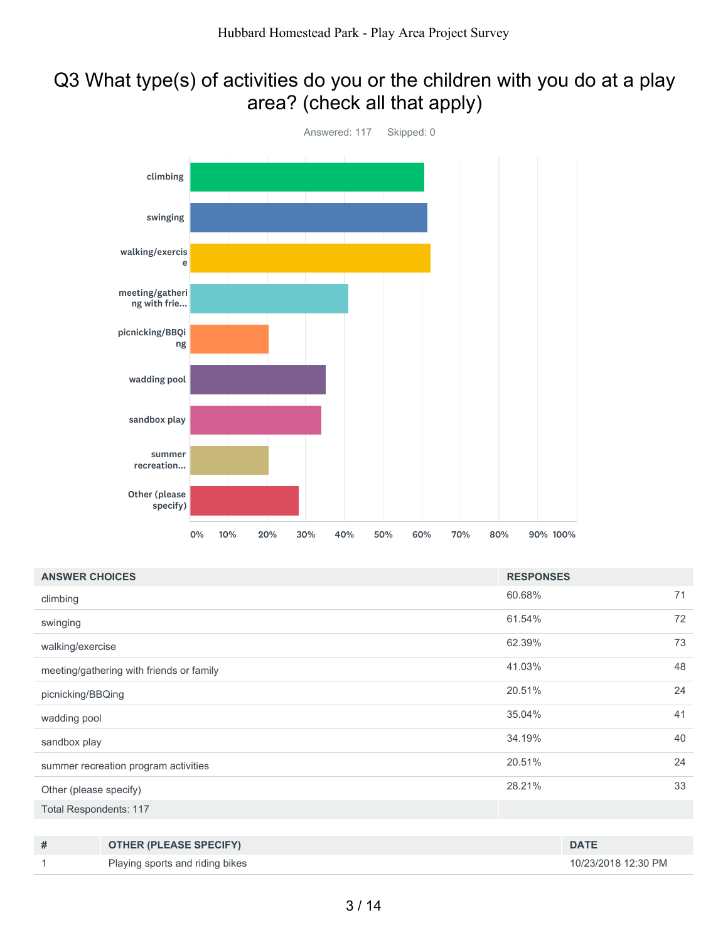## Q3 What type(s) of activities do you or the children with you do at a play area? (check all that apply)



| <b>ANSWER CHOICES</b>         |                                          |        | <b>RESPONSES</b>    |    |  |
|-------------------------------|------------------------------------------|--------|---------------------|----|--|
| climbing                      |                                          | 60.68% |                     |    |  |
| swinging                      |                                          | 61.54% |                     |    |  |
| walking/exercise              |                                          | 62.39% |                     | 73 |  |
|                               | meeting/gathering with friends or family | 41.03% |                     |    |  |
| picnicking/BBQing             |                                          |        |                     | 24 |  |
| wadding pool                  |                                          |        |                     | 41 |  |
| sandbox play                  |                                          |        |                     | 40 |  |
|                               | summer recreation program activities     | 20.51% |                     | 24 |  |
| Other (please specify)        |                                          |        | 28.21%              |    |  |
| <b>Total Respondents: 117</b> |                                          |        |                     |    |  |
|                               |                                          |        |                     |    |  |
| #                             | <b>OTHER (PLEASE SPECIFY)</b>            |        | <b>DATE</b>         |    |  |
|                               | Playing sports and riding bikes          |        | 10/23/2018 12:30 PM |    |  |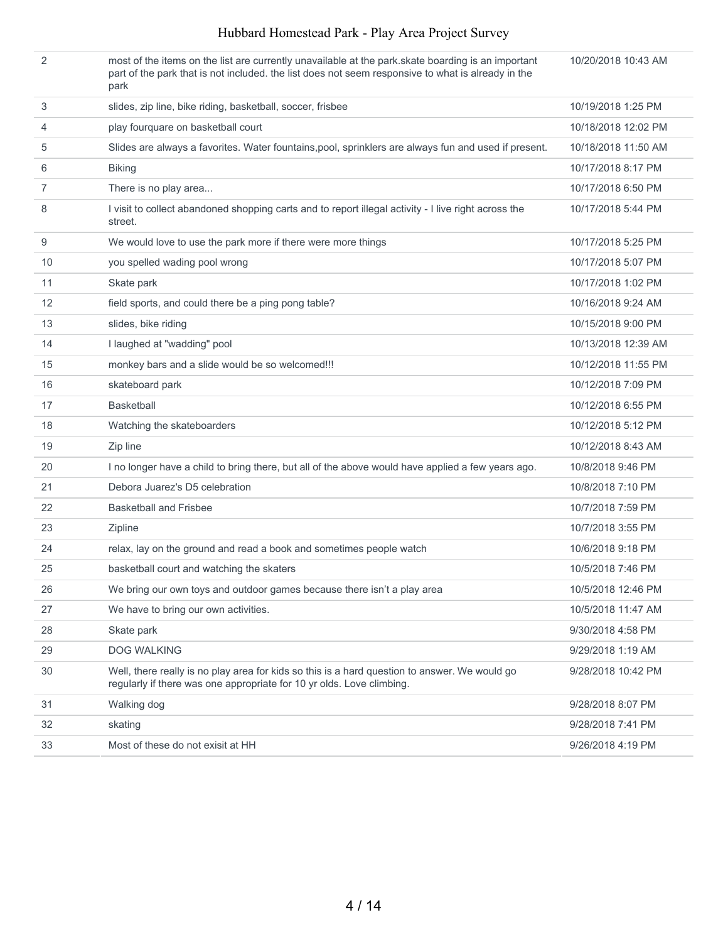#### Hubbard Homestead Park - Play Area Project Survey

| 2                 | most of the items on the list are currently unavailable at the park. Skate boarding is an important<br>part of the park that is not included. the list does not seem responsive to what is already in the<br>park | 10/20/2018 10:43 AM |
|-------------------|-------------------------------------------------------------------------------------------------------------------------------------------------------------------------------------------------------------------|---------------------|
| 3                 | slides, zip line, bike riding, basketball, soccer, frisbee                                                                                                                                                        | 10/19/2018 1:25 PM  |
| 4                 | play fourquare on basketball court                                                                                                                                                                                | 10/18/2018 12:02 PM |
| 5                 | Slides are always a favorites. Water fountains, pool, sprinklers are always fun and used if present.                                                                                                              | 10/18/2018 11:50 AM |
| 6                 | <b>Biking</b>                                                                                                                                                                                                     | 10/17/2018 8:17 PM  |
| $\overline{7}$    | There is no play area                                                                                                                                                                                             | 10/17/2018 6:50 PM  |
| 8                 | I visit to collect abandoned shopping carts and to report illegal activity - I live right across the<br>street.                                                                                                   | 10/17/2018 5:44 PM  |
| 9                 | We would love to use the park more if there were more things                                                                                                                                                      | 10/17/2018 5:25 PM  |
| 10                | you spelled wading pool wrong                                                                                                                                                                                     | 10/17/2018 5:07 PM  |
| 11                | Skate park                                                                                                                                                                                                        | 10/17/2018 1:02 PM  |
| $12 \overline{ }$ | field sports, and could there be a ping pong table?                                                                                                                                                               | 10/16/2018 9:24 AM  |
| 13                | slides, bike riding                                                                                                                                                                                               | 10/15/2018 9:00 PM  |
| 14                | I laughed at "wadding" pool                                                                                                                                                                                       | 10/13/2018 12:39 AM |
| 15                | monkey bars and a slide would be so welcomed!!!                                                                                                                                                                   | 10/12/2018 11:55 PM |
| 16                | skateboard park                                                                                                                                                                                                   | 10/12/2018 7:09 PM  |
| 17                | <b>Basketball</b>                                                                                                                                                                                                 | 10/12/2018 6:55 PM  |
| 18                | Watching the skateboarders                                                                                                                                                                                        | 10/12/2018 5:12 PM  |
| 19                | Zip line                                                                                                                                                                                                          | 10/12/2018 8:43 AM  |
| 20                | I no longer have a child to bring there, but all of the above would have applied a few years ago.                                                                                                                 | 10/8/2018 9:46 PM   |
| 21                | Debora Juarez's D5 celebration                                                                                                                                                                                    | 10/8/2018 7:10 PM   |
| 22                | <b>Basketball and Frisbee</b>                                                                                                                                                                                     | 10/7/2018 7:59 PM   |
| 23                | Zipline                                                                                                                                                                                                           | 10/7/2018 3:55 PM   |
| 24                | relax, lay on the ground and read a book and sometimes people watch                                                                                                                                               | 10/6/2018 9:18 PM   |
| 25                | basketball court and watching the skaters                                                                                                                                                                         | 10/5/2018 7:46 PM   |
| 26                | We bring our own toys and outdoor games because there isn't a play area                                                                                                                                           | 10/5/2018 12:46 PM  |
| 27                | We have to bring our own activities.                                                                                                                                                                              | 10/5/2018 11:47 AM  |
| 28                | Skate park                                                                                                                                                                                                        | 9/30/2018 4:58 PM   |
| 29                | <b>DOG WALKING</b>                                                                                                                                                                                                | 9/29/2018 1:19 AM   |
| 30                | Well, there really is no play area for kids so this is a hard question to answer. We would go<br>regularly if there was one appropriate for 10 yr olds. Love climbing.                                            | 9/28/2018 10:42 PM  |
| 31                | Walking dog                                                                                                                                                                                                       | 9/28/2018 8:07 PM   |
| 32                | skating                                                                                                                                                                                                           | 9/28/2018 7:41 PM   |
| 33                | Most of these do not exisit at HH                                                                                                                                                                                 | 9/26/2018 4:19 PM   |
|                   |                                                                                                                                                                                                                   |                     |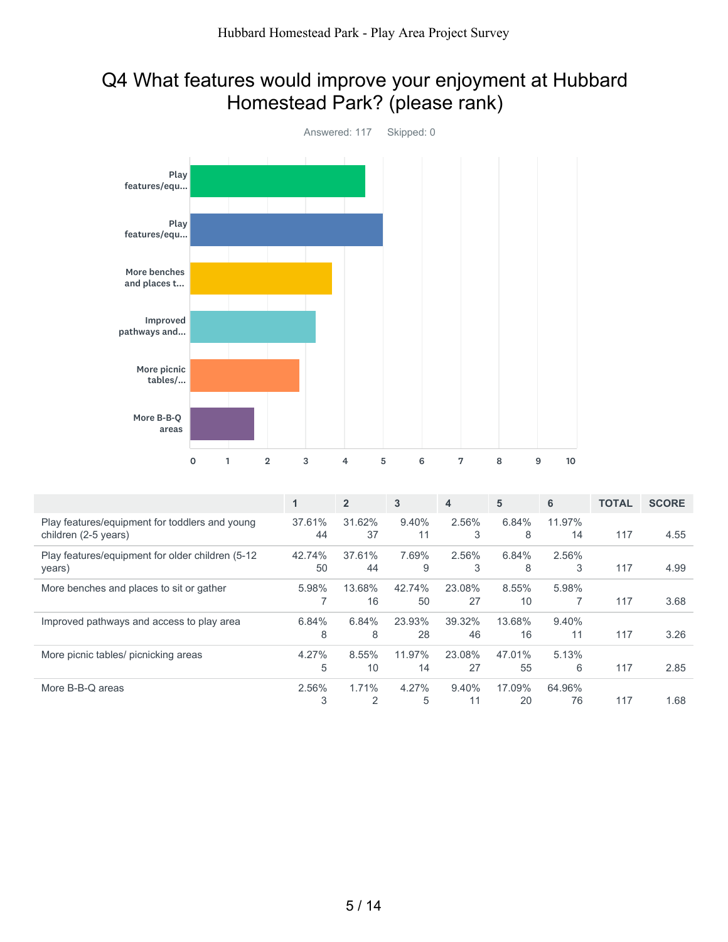#### Q4 What features would improve your enjoyment at Hubbard Homestead Park? (please rank)



|                                                                        | 1            | $\overline{2}$ | 3            | 4            | 5            | 6            | <b>TOTAL</b> | <b>SCORE</b> |
|------------------------------------------------------------------------|--------------|----------------|--------------|--------------|--------------|--------------|--------------|--------------|
| Play features/equipment for toddlers and young<br>children (2-5 years) | 37.61%<br>44 | 31.62%<br>37   | 9.40%<br>11  | 2.56%<br>3   | 6.84%<br>8   | 11.97%<br>14 | 117          | 4.55         |
| Play features/equipment for older children (5-12)<br>years)            | 42.74%<br>50 | 37.61%<br>44   | 7.69%<br>9   | 2.56%<br>3   | 6.84%<br>8   | 2.56%<br>3   | 117          | 4.99         |
| More benches and places to sit or gather                               | 5.98%        | 13.68%<br>16   | 42.74%<br>50 | 23.08%<br>27 | 8.55%<br>10  | 5.98%        | 117          | 3.68         |
| Improved pathways and access to play area                              | 6.84%<br>8   | 6.84%<br>8     | 23.93%<br>28 | 39.32%<br>46 | 13.68%<br>16 | 9.40%<br>11  | 117          | 3.26         |
| More picnic tables/ picnicking areas                                   | 4.27%<br>5   | 8.55%<br>10    | 11.97%<br>14 | 23.08%<br>27 | 47.01%<br>55 | 5.13%<br>6   | 117          | 2.85         |
| More B-B-Q areas                                                       | 2.56%<br>3   | 1.71%<br>2     | 4.27%<br>5   | 9.40%<br>11  | 17.09%<br>20 | 64.96%<br>76 | 117          | 1.68         |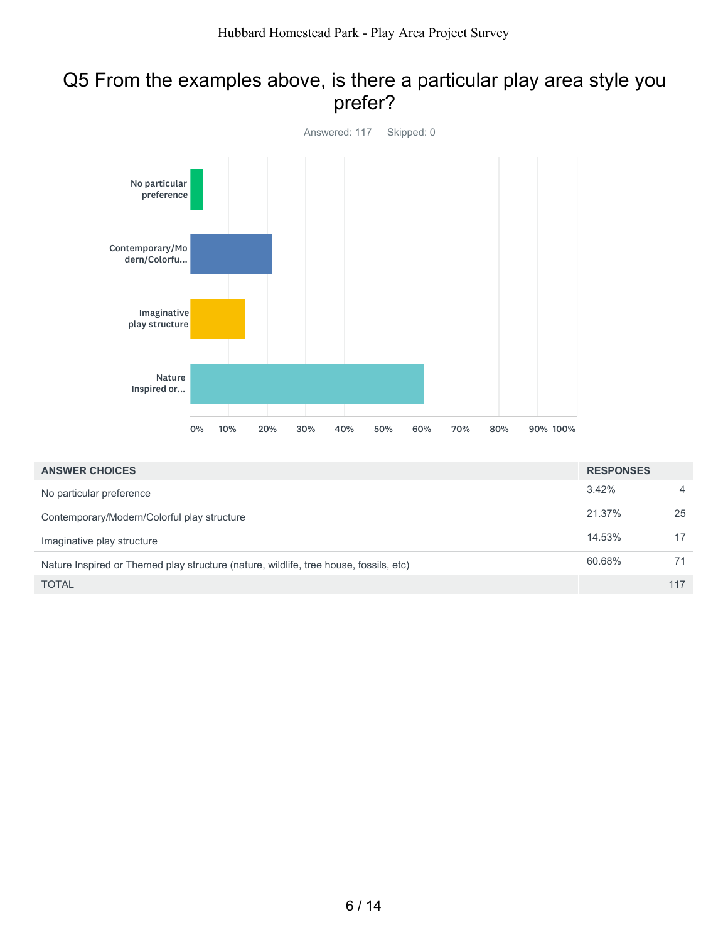#### Q5 From the examples above, is there a particular play area style you prefer?



| <b>ANSWER CHOICES</b>                                                                 | <b>RESPONSES</b> |                |
|---------------------------------------------------------------------------------------|------------------|----------------|
| No particular preference                                                              | 3.42%            | $\overline{4}$ |
| Contemporary/Modern/Colorful play structure                                           | 21.37%           | 25             |
| Imaginative play structure                                                            | 14.53%           | 17             |
| Nature Inspired or Themed play structure (nature, wildlife, tree house, fossils, etc) | 60.68%           | 71             |
| <b>TOTAL</b>                                                                          |                  | 117            |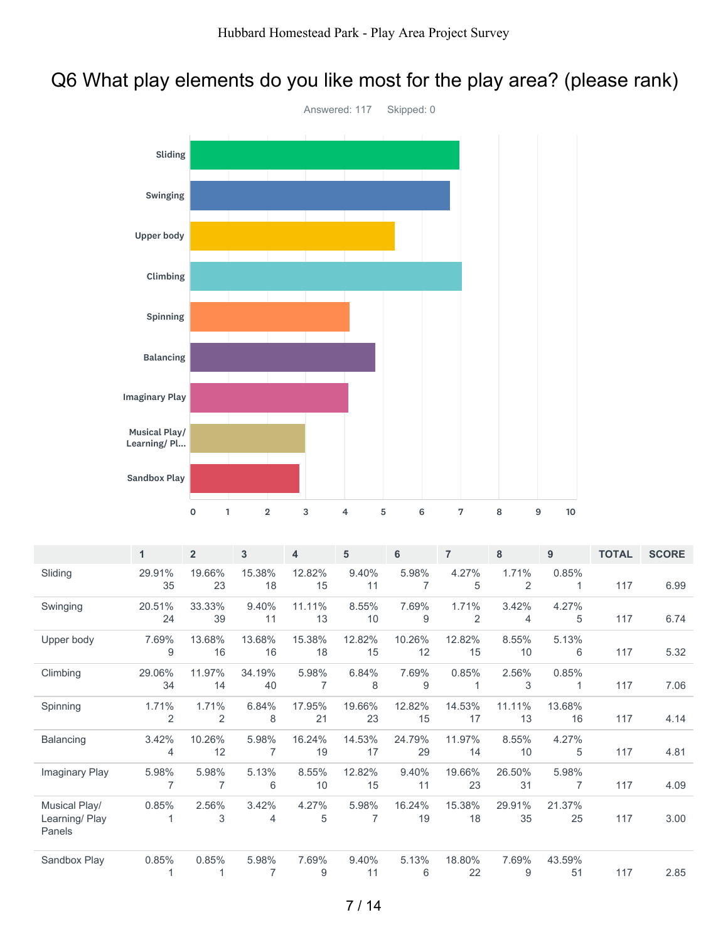#### Q6 What play elements do you like most for the play area? (please rank)



|                                          | 1            | $\overline{2}$ | 3                       | 4            | 5                       | 6            | 7            | 8            | 9            | <b>TOTAL</b> | <b>SCORE</b> |
|------------------------------------------|--------------|----------------|-------------------------|--------------|-------------------------|--------------|--------------|--------------|--------------|--------------|--------------|
| Sliding                                  | 29.91%<br>35 | 19.66%<br>23   | 15.38%<br>18            | 12.82%<br>15 | 9.40%<br>11             | 5.98%<br>7   | 4.27%<br>5   | 1.71%<br>2   | 0.85%        | 117          | 6.99         |
| Swinging                                 | 20.51%<br>24 | 33.33%<br>39   | 9.40%<br>11             | 11.11%<br>13 | 8.55%<br>10             | 7.69%<br>9   | 1.71%<br>2   | 3.42%<br>4   | 4.27%<br>5   | 117          | 6.74         |
| Upper body                               | 7.69%<br>9   | 13.68%<br>16   | 13.68%<br>16            | 15.38%<br>18 | 12.82%<br>15            | 10.26%<br>12 | 12.82%<br>15 | 8.55%<br>10  | 5.13%<br>6   | 117          | 5.32         |
| Climbing                                 | 29.06%<br>34 | 11.97%<br>14   | 34.19%<br>40            | 5.98%<br>7   | 6.84%<br>8              | 7.69%<br>9   | 0.85%        | 2.56%<br>3   | 0.85%        | 117          | 7.06         |
| Spinning                                 | 1.71%<br>2   | 1.71%<br>2     | 6.84%<br>8              | 17.95%<br>21 | 19.66%<br>23            | 12.82%<br>15 | 14.53%<br>17 | 11.11%<br>13 | 13.68%<br>16 | 117          | 4.14         |
| Balancing                                | 3.42%<br>4   | 10.26%<br>12   | 5.98%<br>$\overline{7}$ | 16.24%<br>19 | 14.53%<br>17            | 24.79%<br>29 | 11.97%<br>14 | 8.55%<br>10  | 4.27%<br>5   | 117          | 4.81         |
| Imaginary Play                           | 5.98%<br>7   | 5.98%<br>7     | 5.13%<br>6              | 8.55%<br>10  | 12.82%<br>15            | 9.40%<br>11  | 19.66%<br>23 | 26.50%<br>31 | 5.98%<br>7   | 117          | 4.09         |
| Musical Play/<br>Learning/Play<br>Panels | 0.85%<br>1   | 2.56%<br>3     | 3.42%<br>4              | 4.27%<br>5   | 5.98%<br>$\overline{7}$ | 16.24%<br>19 | 15.38%<br>18 | 29.91%<br>35 | 21.37%<br>25 | 117          | 3.00         |
| Sandbox Play                             | 0.85%        | 0.85%          | 5.98%<br>$\overline{7}$ | 7.69%<br>9   | 9.40%<br>11             | 5.13%<br>6   | 18.80%<br>22 | 7.69%<br>9   | 43.59%<br>51 | 117          | 2.85         |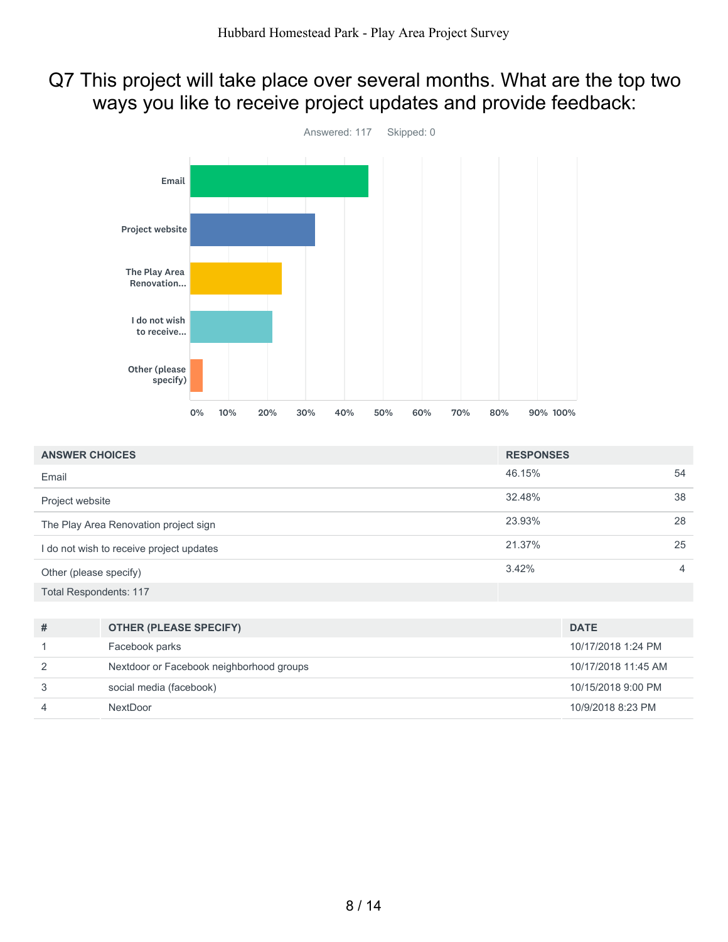#### Q7 This project will take place over several months. What are the top two ways you like to receive project updates and provide feedback:



| <b>ANSWER CHOICES</b>                    | <b>RESPONSES</b> |    |  |
|------------------------------------------|------------------|----|--|
| Email                                    | 46.15%           | 54 |  |
| Project website                          | 32.48%           | 38 |  |
| The Play Area Renovation project sign    | 23.93%           | 28 |  |
| I do not wish to receive project updates | 21.37%           | 25 |  |
| Other (please specify)                   | 3.42%            | 4  |  |
| <b>Total Respondents: 117</b>            |                  |    |  |

| # | <b>OTHER (PLEASE SPECIFY)</b>            | <b>DATE</b>         |
|---|------------------------------------------|---------------------|
|   | Facebook parks                           | 10/17/2018 1:24 PM  |
| 2 | Nextdoor or Facebook neighborhood groups | 10/17/2018 11:45 AM |
| 3 | social media (facebook)                  | 10/15/2018 9:00 PM  |
| 4 | <b>NextDoor</b>                          | 10/9/2018 8:23 PM   |
|   |                                          |                     |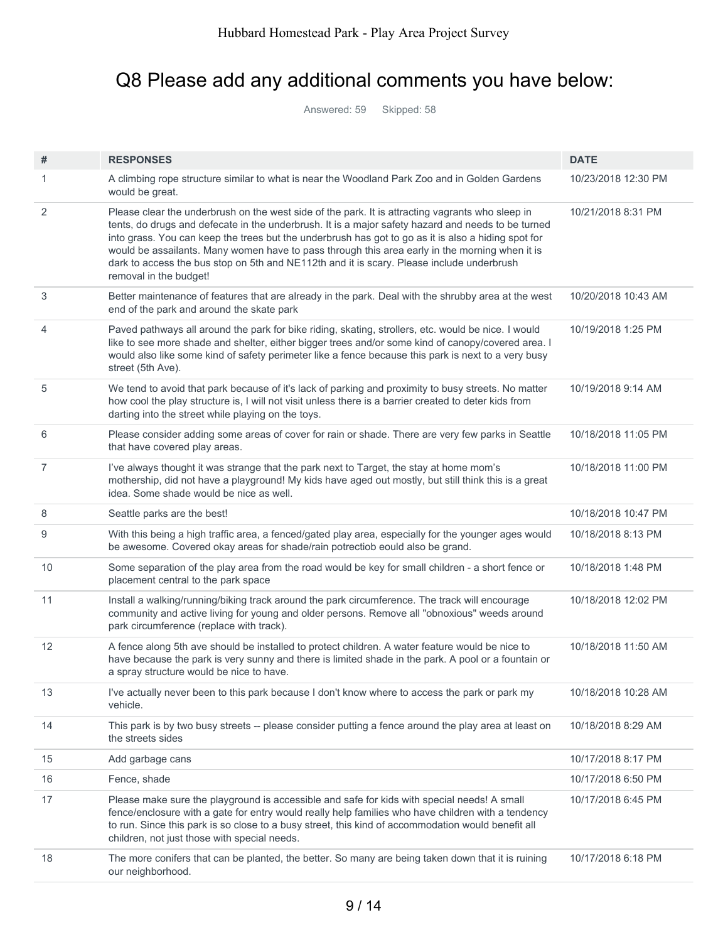### Q8 Please add any additional comments you have below:

Answered: 59 Skipped: 58

| #              | <b>RESPONSES</b>                                                                                                                                                                                                                                                                                                                                                                                                                                                                                                                       | <b>DATE</b>         |
|----------------|----------------------------------------------------------------------------------------------------------------------------------------------------------------------------------------------------------------------------------------------------------------------------------------------------------------------------------------------------------------------------------------------------------------------------------------------------------------------------------------------------------------------------------------|---------------------|
| 1              | A climbing rope structure similar to what is near the Woodland Park Zoo and in Golden Gardens<br>would be great.                                                                                                                                                                                                                                                                                                                                                                                                                       | 10/23/2018 12:30 PM |
| $\overline{2}$ | Please clear the underbrush on the west side of the park. It is attracting vagrants who sleep in<br>tents, do drugs and defecate in the underbrush. It is a major safety hazard and needs to be turned<br>into grass. You can keep the trees but the underbrush has got to go as it is also a hiding spot for<br>would be assailants. Many women have to pass through this area early in the morning when it is<br>dark to access the bus stop on 5th and NE112th and it is scary. Please include underbrush<br>removal in the budget! | 10/21/2018 8:31 PM  |
| 3              | Better maintenance of features that are already in the park. Deal with the shrubby area at the west<br>end of the park and around the skate park                                                                                                                                                                                                                                                                                                                                                                                       | 10/20/2018 10:43 AM |
| 4              | Paved pathways all around the park for bike riding, skating, strollers, etc. would be nice. I would<br>like to see more shade and shelter, either bigger trees and/or some kind of canopy/covered area. I<br>would also like some kind of safety perimeter like a fence because this park is next to a very busy<br>street (5th Ave).                                                                                                                                                                                                  | 10/19/2018 1:25 PM  |
| 5              | We tend to avoid that park because of it's lack of parking and proximity to busy streets. No matter<br>how cool the play structure is, I will not visit unless there is a barrier created to deter kids from<br>darting into the street while playing on the toys.                                                                                                                                                                                                                                                                     | 10/19/2018 9:14 AM  |
| 6              | Please consider adding some areas of cover for rain or shade. There are very few parks in Seattle<br>that have covered play areas.                                                                                                                                                                                                                                                                                                                                                                                                     | 10/18/2018 11:05 PM |
| $\overline{7}$ | I've always thought it was strange that the park next to Target, the stay at home mom's<br>mothership, did not have a playground! My kids have aged out mostly, but still think this is a great<br>idea. Some shade would be nice as well.                                                                                                                                                                                                                                                                                             | 10/18/2018 11:00 PM |
| 8              | Seattle parks are the best!                                                                                                                                                                                                                                                                                                                                                                                                                                                                                                            | 10/18/2018 10:47 PM |
| 9              | With this being a high traffic area, a fenced/gated play area, especially for the younger ages would<br>be awesome. Covered okay areas for shade/rain potrectiob eould also be grand.                                                                                                                                                                                                                                                                                                                                                  | 10/18/2018 8:13 PM  |
| 10             | Some separation of the play area from the road would be key for small children - a short fence or<br>placement central to the park space                                                                                                                                                                                                                                                                                                                                                                                               | 10/18/2018 1:48 PM  |
| 11             | Install a walking/running/biking track around the park circumference. The track will encourage<br>community and active living for young and older persons. Remove all "obnoxious" weeds around<br>park circumference (replace with track).                                                                                                                                                                                                                                                                                             | 10/18/2018 12:02 PM |
| 12             | A fence along 5th ave should be installed to protect children. A water feature would be nice to<br>have because the park is very sunny and there is limited shade in the park. A pool or a fountain or<br>a spray structure would be nice to have.                                                                                                                                                                                                                                                                                     | 10/18/2018 11:50 AM |
| 13             | I've actually never been to this park because I don't know where to access the park or park my<br>vehicle.                                                                                                                                                                                                                                                                                                                                                                                                                             | 10/18/2018 10:28 AM |
| 14             | This park is by two busy streets -- please consider putting a fence around the play area at least on<br>the streets sides                                                                                                                                                                                                                                                                                                                                                                                                              | 10/18/2018 8:29 AM  |
| 15             | Add garbage cans                                                                                                                                                                                                                                                                                                                                                                                                                                                                                                                       | 10/17/2018 8:17 PM  |
| 16             | Fence, shade                                                                                                                                                                                                                                                                                                                                                                                                                                                                                                                           | 10/17/2018 6:50 PM  |
| 17             | Please make sure the playground is accessible and safe for kids with special needs! A small<br>fence/enclosure with a gate for entry would really help families who have children with a tendency<br>to run. Since this park is so close to a busy street, this kind of accommodation would benefit all<br>children, not just those with special needs.                                                                                                                                                                                | 10/17/2018 6:45 PM  |
| 18             | The more conifers that can be planted, the better. So many are being taken down that it is ruining<br>our neighborhood.                                                                                                                                                                                                                                                                                                                                                                                                                | 10/17/2018 6:18 PM  |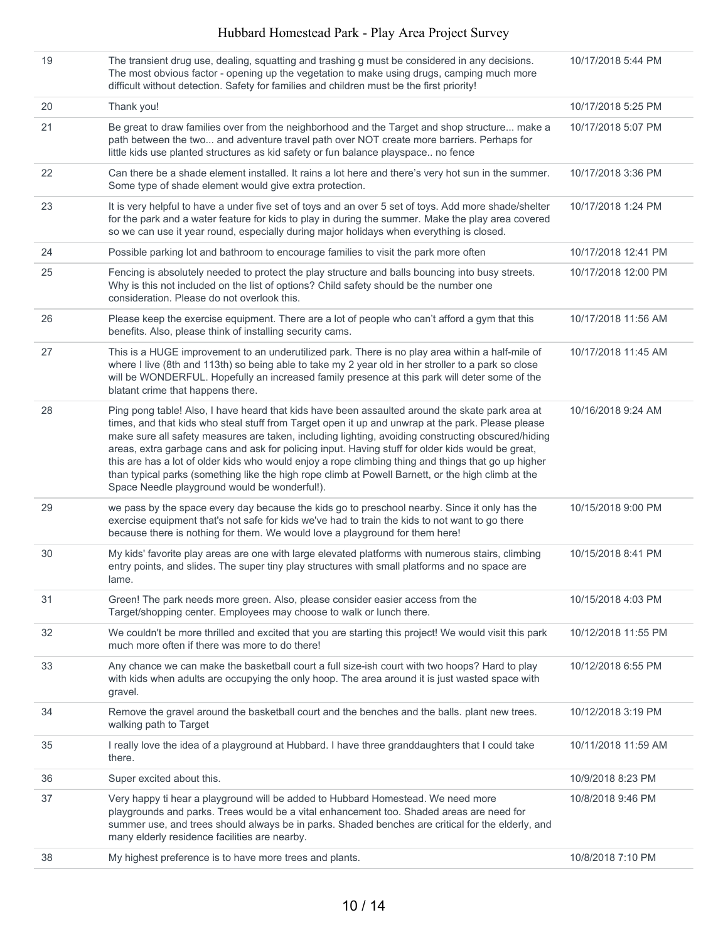#### Hubbard Homestead Park - Play Area Project Survey

| 38 | My highest preference is to have more trees and plants.                                                                                                                                                                                                                                                                                                                                                                                                                                                                                                                                                                                                                       | 10/8/2018 7:10 PM   |
|----|-------------------------------------------------------------------------------------------------------------------------------------------------------------------------------------------------------------------------------------------------------------------------------------------------------------------------------------------------------------------------------------------------------------------------------------------------------------------------------------------------------------------------------------------------------------------------------------------------------------------------------------------------------------------------------|---------------------|
| 37 | Very happy ti hear a playground will be added to Hubbard Homestead. We need more<br>playgrounds and parks. Trees would be a vital enhancement too. Shaded areas are need for<br>summer use, and trees should always be in parks. Shaded benches are critical for the elderly, and<br>many elderly residence facilities are nearby.                                                                                                                                                                                                                                                                                                                                            | 10/8/2018 9:46 PM   |
| 36 | Super excited about this.                                                                                                                                                                                                                                                                                                                                                                                                                                                                                                                                                                                                                                                     | 10/9/2018 8:23 PM   |
| 35 | I really love the idea of a playground at Hubbard. I have three granddaughters that I could take<br>there.                                                                                                                                                                                                                                                                                                                                                                                                                                                                                                                                                                    | 10/11/2018 11:59 AM |
| 34 | Remove the gravel around the basketball court and the benches and the balls. plant new trees.<br>walking path to Target                                                                                                                                                                                                                                                                                                                                                                                                                                                                                                                                                       | 10/12/2018 3:19 PM  |
| 33 | Any chance we can make the basketball court a full size-ish court with two hoops? Hard to play<br>with kids when adults are occupying the only hoop. The area around it is just wasted space with<br>gravel.                                                                                                                                                                                                                                                                                                                                                                                                                                                                  | 10/12/2018 6:55 PM  |
| 32 | We couldn't be more thrilled and excited that you are starting this project! We would visit this park<br>much more often if there was more to do there!                                                                                                                                                                                                                                                                                                                                                                                                                                                                                                                       | 10/12/2018 11:55 PM |
| 31 | Green! The park needs more green. Also, please consider easier access from the<br>Target/shopping center. Employees may choose to walk or lunch there.                                                                                                                                                                                                                                                                                                                                                                                                                                                                                                                        | 10/15/2018 4:03 PM  |
| 30 | My kids' favorite play areas are one with large elevated platforms with numerous stairs, climbing<br>entry points, and slides. The super tiny play structures with small platforms and no space are<br>lame.                                                                                                                                                                                                                                                                                                                                                                                                                                                                  | 10/15/2018 8:41 PM  |
| 29 | we pass by the space every day because the kids go to preschool nearby. Since it only has the<br>exercise equipment that's not safe for kids we've had to train the kids to not want to go there<br>because there is nothing for them. We would love a playground for them here!                                                                                                                                                                                                                                                                                                                                                                                              | 10/15/2018 9:00 PM  |
| 28 | Ping pong table! Also, I have heard that kids have been assaulted around the skate park area at<br>times, and that kids who steal stuff from Target open it up and unwrap at the park. Please please<br>make sure all safety measures are taken, including lighting, avoiding constructing obscured/hiding<br>areas, extra garbage cans and ask for policing input. Having stuff for older kids would be great,<br>this are has a lot of older kids who would enjoy a rope climbing thing and things that go up higher<br>than typical parks (something like the high rope climb at Powell Barnett, or the high climb at the<br>Space Needle playground would be wonderful!). | 10/16/2018 9:24 AM  |
| 27 | This is a HUGE improvement to an underutilized park. There is no play area within a half-mile of<br>where I live (8th and 113th) so being able to take my 2 year old in her stroller to a park so close<br>will be WONDERFUL. Hopefully an increased family presence at this park will deter some of the<br>blatant crime that happens there.                                                                                                                                                                                                                                                                                                                                 | 10/17/2018 11:45 AM |
| 26 | Please keep the exercise equipment. There are a lot of people who can't afford a gym that this<br>benefits. Also, please think of installing security cams.                                                                                                                                                                                                                                                                                                                                                                                                                                                                                                                   | 10/17/2018 11:56 AM |
| 25 | Fencing is absolutely needed to protect the play structure and balls bouncing into busy streets.<br>Why is this not included on the list of options? Child safety should be the number one<br>consideration. Please do not overlook this.                                                                                                                                                                                                                                                                                                                                                                                                                                     | 10/17/2018 12:00 PM |
| 24 | Possible parking lot and bathroom to encourage families to visit the park more often                                                                                                                                                                                                                                                                                                                                                                                                                                                                                                                                                                                          | 10/17/2018 12:41 PM |
| 23 | It is very helpful to have a under five set of toys and an over 5 set of toys. Add more shade/shelter<br>for the park and a water feature for kids to play in during the summer. Make the play area covered<br>so we can use it year round, especially during major holidays when everything is closed.                                                                                                                                                                                                                                                                                                                                                                       | 10/17/2018 1:24 PM  |
| 22 | Can there be a shade element installed. It rains a lot here and there's very hot sun in the summer.<br>Some type of shade element would give extra protection.                                                                                                                                                                                                                                                                                                                                                                                                                                                                                                                | 10/17/2018 3:36 PM  |
| 21 | Be great to draw families over from the neighborhood and the Target and shop structure make a<br>path between the two and adventure travel path over NOT create more barriers. Perhaps for<br>little kids use planted structures as kid safety or fun balance playspace no fence                                                                                                                                                                                                                                                                                                                                                                                              | 10/17/2018 5:07 PM  |
| 20 | Thank you!                                                                                                                                                                                                                                                                                                                                                                                                                                                                                                                                                                                                                                                                    | 10/17/2018 5:25 PM  |
| 19 | The transient drug use, dealing, squatting and trashing g must be considered in any decisions.<br>The most obvious factor - opening up the vegetation to make using drugs, camping much more<br>difficult without detection. Safety for families and children must be the first priority!                                                                                                                                                                                                                                                                                                                                                                                     | 10/17/2018 5:44 PM  |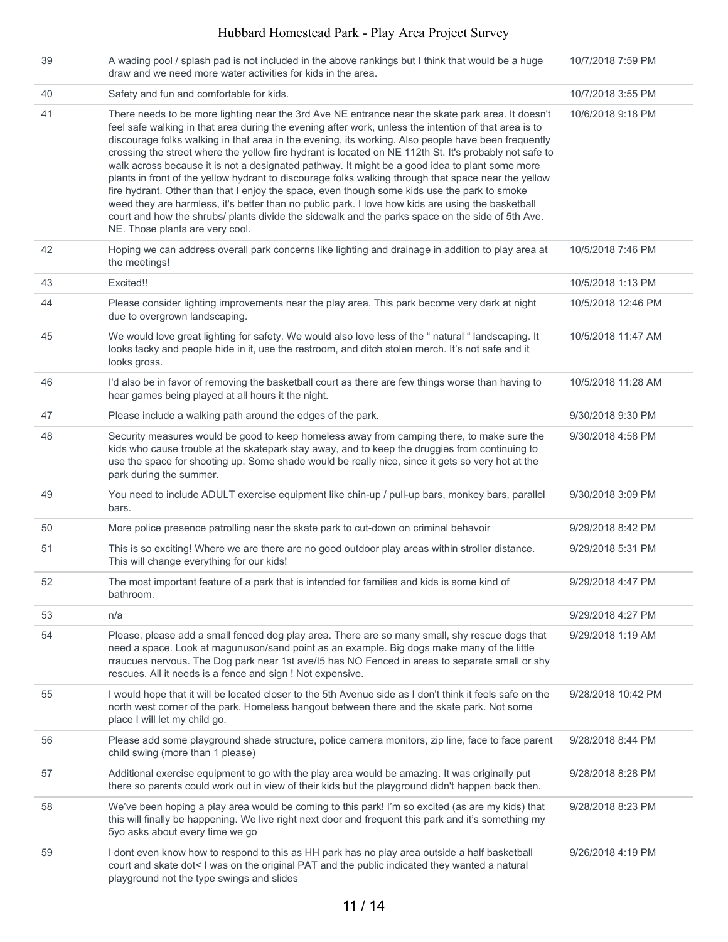#### Hubbard Homestead Park - Play Area Project Survey

| 39 | A wading pool / splash pad is not included in the above rankings but I think that would be a huge<br>draw and we need more water activities for kids in the area.                                                                                                                                                                                                                                                                                                                                                                                                                                                                                                                                                                                                                                                                                                                                                                                                                 | 10/7/2018 7:59 PM  |
|----|-----------------------------------------------------------------------------------------------------------------------------------------------------------------------------------------------------------------------------------------------------------------------------------------------------------------------------------------------------------------------------------------------------------------------------------------------------------------------------------------------------------------------------------------------------------------------------------------------------------------------------------------------------------------------------------------------------------------------------------------------------------------------------------------------------------------------------------------------------------------------------------------------------------------------------------------------------------------------------------|--------------------|
| 40 | Safety and fun and comfortable for kids.                                                                                                                                                                                                                                                                                                                                                                                                                                                                                                                                                                                                                                                                                                                                                                                                                                                                                                                                          | 10/7/2018 3:55 PM  |
| 41 | There needs to be more lighting near the 3rd Ave NE entrance near the skate park area. It doesn't<br>feel safe walking in that area during the evening after work, unless the intention of that area is to<br>discourage folks walking in that area in the evening, its working. Also people have been frequently<br>crossing the street where the yellow fire hydrant is located on NE 112th St. It's probably not safe to<br>walk across because it is not a designated pathway. It might be a good idea to plant some more<br>plants in front of the yellow hydrant to discourage folks walking through that space near the yellow<br>fire hydrant. Other than that I enjoy the space, even though some kids use the park to smoke<br>weed they are harmless, it's better than no public park. I love how kids are using the basketball<br>court and how the shrubs/ plants divide the sidewalk and the parks space on the side of 5th Ave.<br>NE. Those plants are very cool. | 10/6/2018 9:18 PM  |
| 42 | Hoping we can address overall park concerns like lighting and drainage in addition to play area at<br>the meetings!                                                                                                                                                                                                                                                                                                                                                                                                                                                                                                                                                                                                                                                                                                                                                                                                                                                               | 10/5/2018 7:46 PM  |
| 43 | Excited!!                                                                                                                                                                                                                                                                                                                                                                                                                                                                                                                                                                                                                                                                                                                                                                                                                                                                                                                                                                         | 10/5/2018 1:13 PM  |
| 44 | Please consider lighting improvements near the play area. This park become very dark at night<br>due to overgrown landscaping.                                                                                                                                                                                                                                                                                                                                                                                                                                                                                                                                                                                                                                                                                                                                                                                                                                                    | 10/5/2018 12:46 PM |
| 45 | We would love great lighting for safety. We would also love less of the "natural "landscaping. It<br>looks tacky and people hide in it, use the restroom, and ditch stolen merch. It's not safe and it<br>looks gross.                                                                                                                                                                                                                                                                                                                                                                                                                                                                                                                                                                                                                                                                                                                                                            | 10/5/2018 11:47 AM |
| 46 | I'd also be in favor of removing the basketball court as there are few things worse than having to<br>hear games being played at all hours it the night.                                                                                                                                                                                                                                                                                                                                                                                                                                                                                                                                                                                                                                                                                                                                                                                                                          | 10/5/2018 11:28 AM |
| 47 | Please include a walking path around the edges of the park.                                                                                                                                                                                                                                                                                                                                                                                                                                                                                                                                                                                                                                                                                                                                                                                                                                                                                                                       | 9/30/2018 9:30 PM  |
| 48 | Security measures would be good to keep homeless away from camping there, to make sure the<br>kids who cause trouble at the skatepark stay away, and to keep the druggies from continuing to<br>use the space for shooting up. Some shade would be really nice, since it gets so very hot at the<br>park during the summer.                                                                                                                                                                                                                                                                                                                                                                                                                                                                                                                                                                                                                                                       | 9/30/2018 4:58 PM  |
| 49 | You need to include ADULT exercise equipment like chin-up / pull-up bars, monkey bars, parallel<br>bars.                                                                                                                                                                                                                                                                                                                                                                                                                                                                                                                                                                                                                                                                                                                                                                                                                                                                          | 9/30/2018 3:09 PM  |
| 50 | More police presence patrolling near the skate park to cut-down on criminal behavoir                                                                                                                                                                                                                                                                                                                                                                                                                                                                                                                                                                                                                                                                                                                                                                                                                                                                                              | 9/29/2018 8:42 PM  |
| 51 | This is so exciting! Where we are there are no good outdoor play areas within stroller distance.<br>This will change everything for our kids!                                                                                                                                                                                                                                                                                                                                                                                                                                                                                                                                                                                                                                                                                                                                                                                                                                     | 9/29/2018 5:31 PM  |
| 52 | The most important feature of a park that is intended for families and kids is some kind of<br>bathroom.                                                                                                                                                                                                                                                                                                                                                                                                                                                                                                                                                                                                                                                                                                                                                                                                                                                                          | 9/29/2018 4:47 PM  |
| 53 | n/a                                                                                                                                                                                                                                                                                                                                                                                                                                                                                                                                                                                                                                                                                                                                                                                                                                                                                                                                                                               | 9/29/2018 4:27 PM  |
| 54 | Please, please add a small fenced dog play area. There are so many small, shy rescue dogs that<br>need a space. Look at magunuson/sand point as an example. Big dogs make many of the little<br>rraucues nervous. The Dog park near 1st ave/l5 has NO Fenced in areas to separate small or shy<br>rescues. All it needs is a fence and sign ! Not expensive.                                                                                                                                                                                                                                                                                                                                                                                                                                                                                                                                                                                                                      | 9/29/2018 1:19 AM  |
| 55 | I would hope that it will be located closer to the 5th Avenue side as I don't think it feels safe on the<br>north west corner of the park. Homeless hangout between there and the skate park. Not some<br>place I will let my child go.                                                                                                                                                                                                                                                                                                                                                                                                                                                                                                                                                                                                                                                                                                                                           | 9/28/2018 10:42 PM |
| 56 | Please add some playground shade structure, police camera monitors, zip line, face to face parent<br>child swing (more than 1 please)                                                                                                                                                                                                                                                                                                                                                                                                                                                                                                                                                                                                                                                                                                                                                                                                                                             | 9/28/2018 8:44 PM  |
| 57 | Additional exercise equipment to go with the play area would be amazing. It was originally put<br>there so parents could work out in view of their kids but the playground didn't happen back then.                                                                                                                                                                                                                                                                                                                                                                                                                                                                                                                                                                                                                                                                                                                                                                               | 9/28/2018 8:28 PM  |
| 58 | We've been hoping a play area would be coming to this park! I'm so excited (as are my kids) that<br>this will finally be happening. We live right next door and frequent this park and it's something my<br>5yo asks about every time we go                                                                                                                                                                                                                                                                                                                                                                                                                                                                                                                                                                                                                                                                                                                                       | 9/28/2018 8:23 PM  |
| 59 | I dont even know how to respond to this as HH park has no play area outside a half basketball<br>court and skate dot< I was on the original PAT and the public indicated they wanted a natural<br>playground not the type swings and slides                                                                                                                                                                                                                                                                                                                                                                                                                                                                                                                                                                                                                                                                                                                                       | 9/26/2018 4:19 PM  |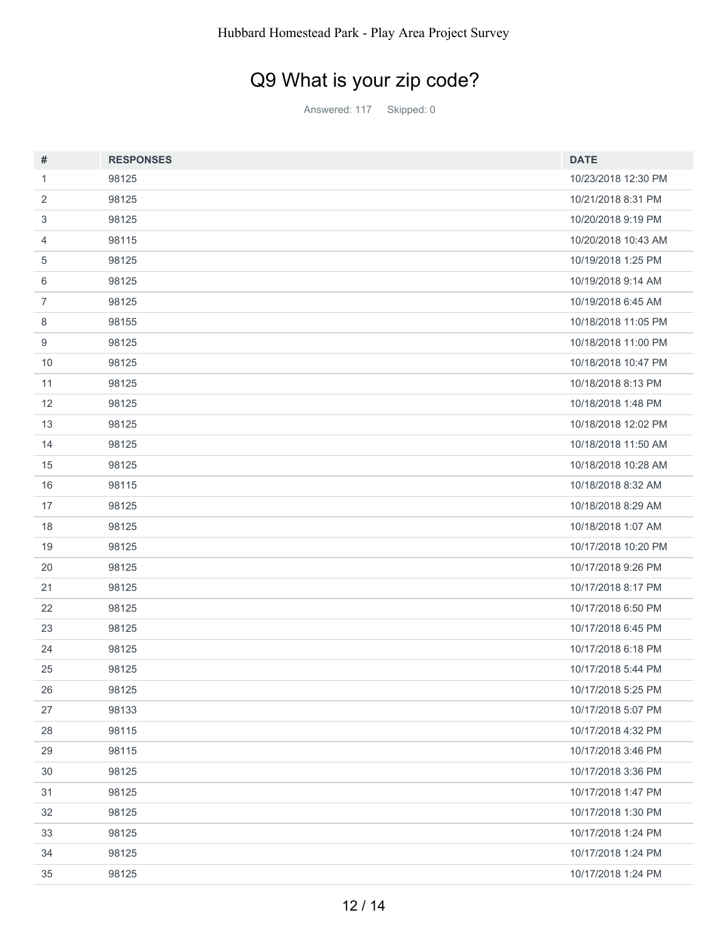# Q9 What is your zip code?

Answered: 117 Skipped: 0

| #              | <b>RESPONSES</b> | <b>DATE</b>         |
|----------------|------------------|---------------------|
| 1              | 98125            | 10/23/2018 12:30 PM |
| 2              | 98125            | 10/21/2018 8:31 PM  |
| 3              | 98125            | 10/20/2018 9:19 PM  |
| 4              | 98115            | 10/20/2018 10:43 AM |
| 5              | 98125            | 10/19/2018 1:25 PM  |
| 6              | 98125            | 10/19/2018 9:14 AM  |
| $\overline{7}$ | 98125            | 10/19/2018 6:45 AM  |
| 8              | 98155            | 10/18/2018 11:05 PM |
| 9              | 98125            | 10/18/2018 11:00 PM |
| 10             | 98125            | 10/18/2018 10:47 PM |
| 11             | 98125            | 10/18/2018 8:13 PM  |
| 12             | 98125            | 10/18/2018 1:48 PM  |
| 13             | 98125            | 10/18/2018 12:02 PM |
| 14             | 98125            | 10/18/2018 11:50 AM |
| 15             | 98125            | 10/18/2018 10:28 AM |
| 16             | 98115            | 10/18/2018 8:32 AM  |
| 17             | 98125            | 10/18/2018 8:29 AM  |
| 18             | 98125            | 10/18/2018 1:07 AM  |
| 19             | 98125            | 10/17/2018 10:20 PM |
| 20             | 98125            | 10/17/2018 9:26 PM  |
| 21             | 98125            | 10/17/2018 8:17 PM  |
| 22             | 98125            | 10/17/2018 6:50 PM  |
| 23             | 98125            | 10/17/2018 6:45 PM  |
| 24             | 98125            | 10/17/2018 6:18 PM  |
| 25             | 98125            | 10/17/2018 5:44 PM  |
| 26             | 98125            | 10/17/2018 5:25 PM  |
| 27             | 98133            | 10/17/2018 5:07 PM  |
| 28             | 98115            | 10/17/2018 4:32 PM  |
| 29             | 98115            | 10/17/2018 3:46 PM  |
| $30\,$         | 98125            | 10/17/2018 3:36 PM  |
| 31             | 98125            | 10/17/2018 1:47 PM  |
| 32             | 98125            | 10/17/2018 1:30 PM  |
| 33             | 98125            | 10/17/2018 1:24 PM  |
| 34             | 98125            | 10/17/2018 1:24 PM  |
| 35             | 98125            | 10/17/2018 1:24 PM  |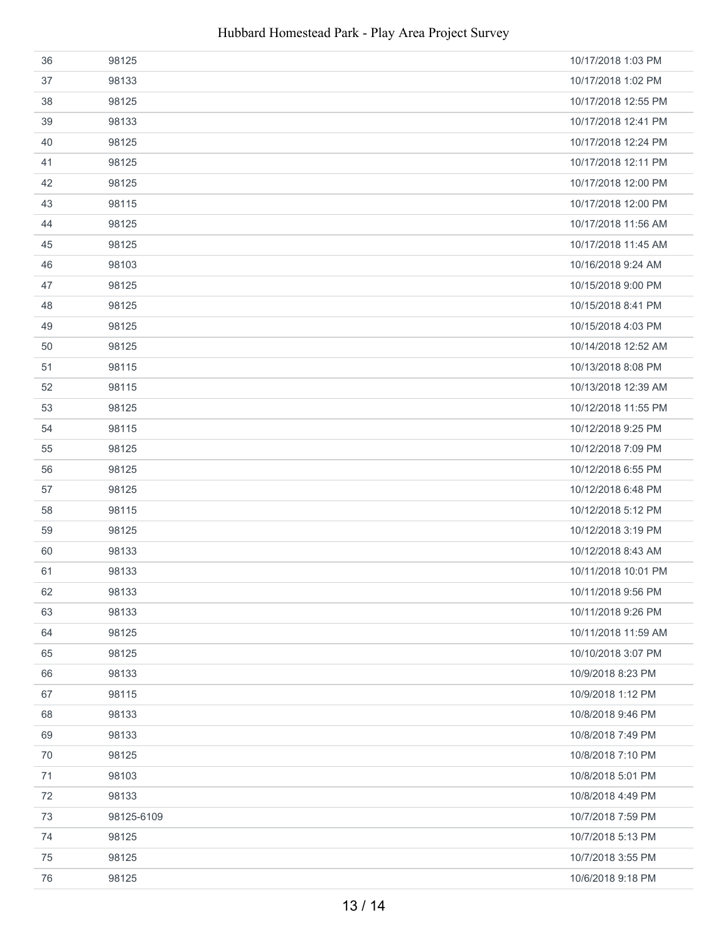| 36 | 98125      | 10/17/2018 1:03 PM  |
|----|------------|---------------------|
| 37 | 98133      | 10/17/2018 1:02 PM  |
| 38 | 98125      | 10/17/2018 12:55 PM |
| 39 | 98133      | 10/17/2018 12:41 PM |
| 40 | 98125      | 10/17/2018 12:24 PM |
| 41 | 98125      | 10/17/2018 12:11 PM |
| 42 | 98125      | 10/17/2018 12:00 PM |
| 43 | 98115      | 10/17/2018 12:00 PM |
| 44 | 98125      | 10/17/2018 11:56 AM |
| 45 | 98125      | 10/17/2018 11:45 AM |
| 46 | 98103      | 10/16/2018 9:24 AM  |
| 47 | 98125      | 10/15/2018 9:00 PM  |
| 48 | 98125      | 10/15/2018 8:41 PM  |
| 49 | 98125      | 10/15/2018 4:03 PM  |
| 50 | 98125      | 10/14/2018 12:52 AM |
| 51 | 98115      | 10/13/2018 8:08 PM  |
| 52 | 98115      | 10/13/2018 12:39 AM |
| 53 | 98125      | 10/12/2018 11:55 PM |
| 54 | 98115      | 10/12/2018 9:25 PM  |
| 55 | 98125      | 10/12/2018 7:09 PM  |
| 56 | 98125      | 10/12/2018 6:55 PM  |
| 57 | 98125      | 10/12/2018 6:48 PM  |
| 58 | 98115      | 10/12/2018 5:12 PM  |
| 59 | 98125      | 10/12/2018 3:19 PM  |
| 60 | 98133      | 10/12/2018 8:43 AM  |
| 61 | 98133      | 10/11/2018 10:01 PM |
| 62 | 98133      | 10/11/2018 9:56 PM  |
| 63 | 98133      | 10/11/2018 9:26 PM  |
| 64 | 98125      | 10/11/2018 11:59 AM |
| 65 | 98125      | 10/10/2018 3:07 PM  |
| 66 | 98133      | 10/9/2018 8:23 PM   |
| 67 | 98115      | 10/9/2018 1:12 PM   |
| 68 | 98133      | 10/8/2018 9:46 PM   |
| 69 | 98133      | 10/8/2018 7:49 PM   |
| 70 | 98125      | 10/8/2018 7:10 PM   |
| 71 | 98103      | 10/8/2018 5:01 PM   |
| 72 | 98133      | 10/8/2018 4:49 PM   |
| 73 | 98125-6109 | 10/7/2018 7:59 PM   |
| 74 | 98125      | 10/7/2018 5:13 PM   |
| 75 | 98125      | 10/7/2018 3:55 PM   |
| 76 | 98125      | 10/6/2018 9:18 PM   |